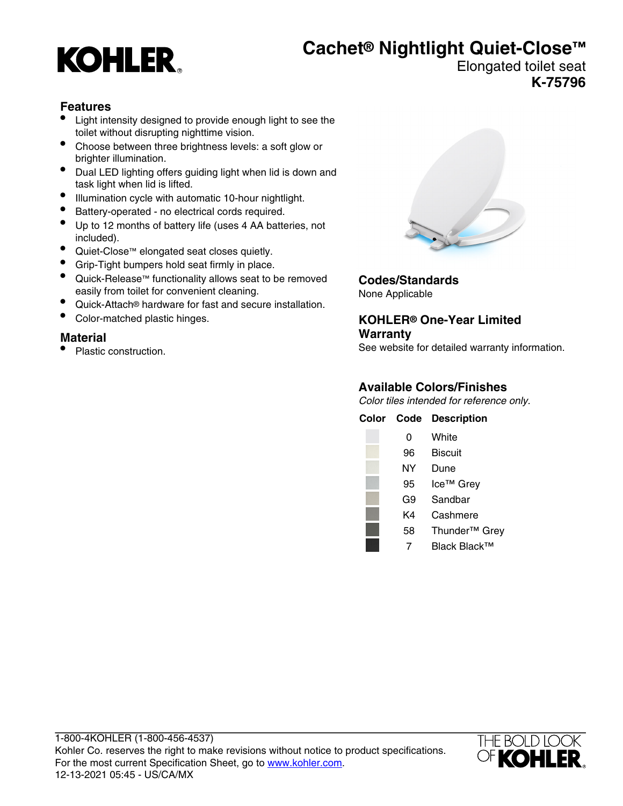# **KOHLER**

## **Cachet® Nightlight Quiet-Close™**

#### Elongated toilet seat **K-75796**

#### **Features**

- Light intensity designed to provide enough light to see the toilet without disrupting nighttime vision.
- Choose between three brightness levels: a soft glow or brighter illumination.
- Dual LED lighting offers guiding light when lid is down and task light when lid is lifted.
- Illumination cycle with automatic 10-hour nightlight.
- Battery-operated no electrical cords required.
- Up to 12 months of battery life (uses 4 AA batteries, not included).
- Quiet-Close™ elongated seat closes quietly.
- Grip-Tight bumpers hold seat firmly in place.
- Quick-Release™ functionality allows seat to be removed easily from toilet for convenient cleaning.
- Quick-Attach® hardware for fast and secure installation.
- Color-matched plastic hinges.

#### **Material**

• Plastic construction.



**Codes/Standards** None Applicable

#### **KOHLER® One-Year Limited Warranty**

See website for detailed warranty information.

#### **Available Colors/Finishes**

Color tiles intended for reference only.

| Color | Code | <b>Description</b>        |
|-------|------|---------------------------|
|       | 0    | White                     |
|       | 96   | Biscuit                   |
|       | NΥ   | Dune                      |
|       | 95   | Ice <sup>™</sup> Grey     |
|       | G9   | Sandbar                   |
|       | K4   | Cashmere                  |
|       | 58   | Thunder <sup>™</sup> Grey |
|       |      | Black Black™              |